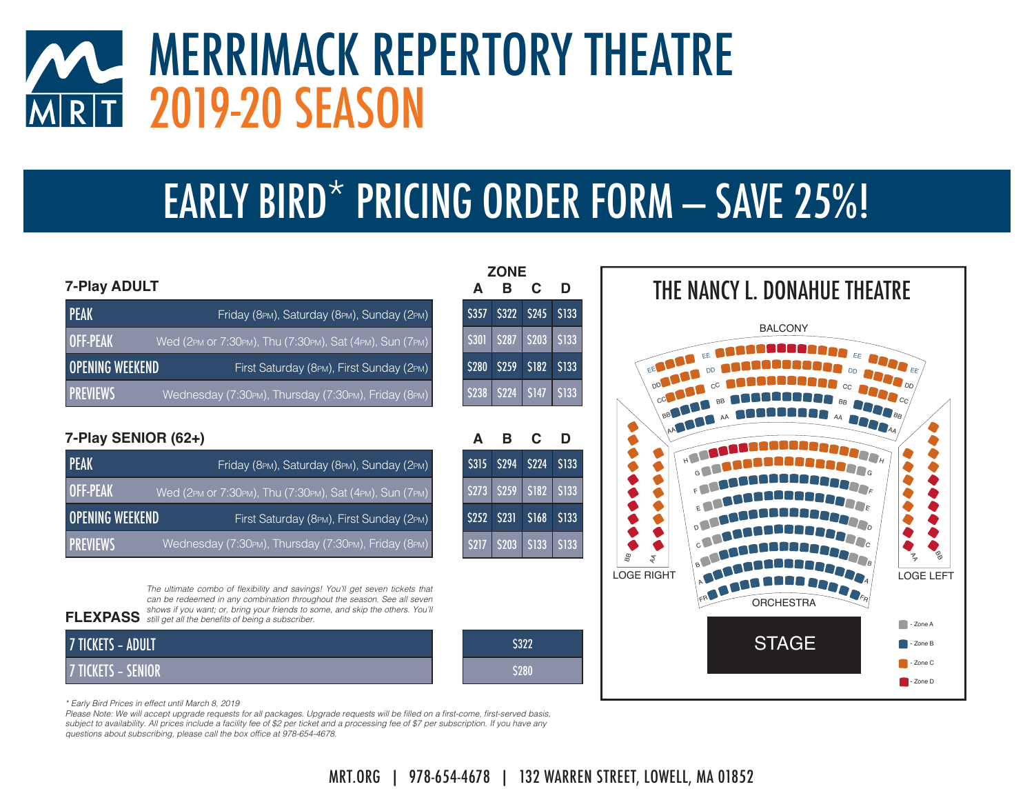### MERRIMACK REPERTORY THEATRE2019-20 SEASON $\overline{R|T}$

## EARLY BIRD\* PRICING ORDER FORM  $-$  SAVE 25%!

**B**

**B**

**A**

**C**

**A**

**ZONE**

**C**

#### **7-Play ADULT**

| <b>PEAK</b>            | Friday (8PM), Saturday (8PM), Sunday (2PM)              |
|------------------------|---------------------------------------------------------|
| <b>OFF-PEAK</b>        | Wed (2PM or 7:30PM), Thu (7:30PM), Sat (4PM), Sun (7PM) |
| <b>OPENING WEEKEND</b> | First Saturday (8PM), First Sunday (2PM)                |
| <b>PREVIEWS</b>        | Wednesday (7:30PM), Thursday (7:30PM), Friday (8PM)     |

#### **7-Play SENIOR (62+)**

| <b>PEAK</b>            | Friday (8PM), Saturday (8PM), Sunday (2PM)              |
|------------------------|---------------------------------------------------------|
| OFF-PEAK               | Wed (2PM or 7:30PM), Thu (7:30PM), Sat (4PM), Sun (7PM) |
| <b>OPENING WEEKEND</b> | First Saturday (8PM), First Sunday (2PM)                |
| <b>PREVIEWS</b>        | Wednesday (7:30PM), Thursday (7:30PM), Friday (8PM)     |

**FLEXPASS** still get all the benefits of being a subscriber. The ultimate combo of flexibility and savings! You'll get seven tickets that can be redeemed in any combination throughout the season. See all seven shows if you want; or, bring your friends to some, and skip the others. You'll

| 7 TICKETS - ADULT  | S322 |
|--------------------|------|
| 7 TICKETS – SENIOR | 5280 |



*\* Early Bird Prices in effect until March 8, 2019*

*Please Note:* We will accept upgrade requests for all packages. Upgrade requests will be filled on a first-come, first-served basis, subject to availability. All prices include a facility fee of \$2 per ticket and a processing fee of \$7 per subscription. If you have any questions about subscribing, please call the box office at 978-654-4678.